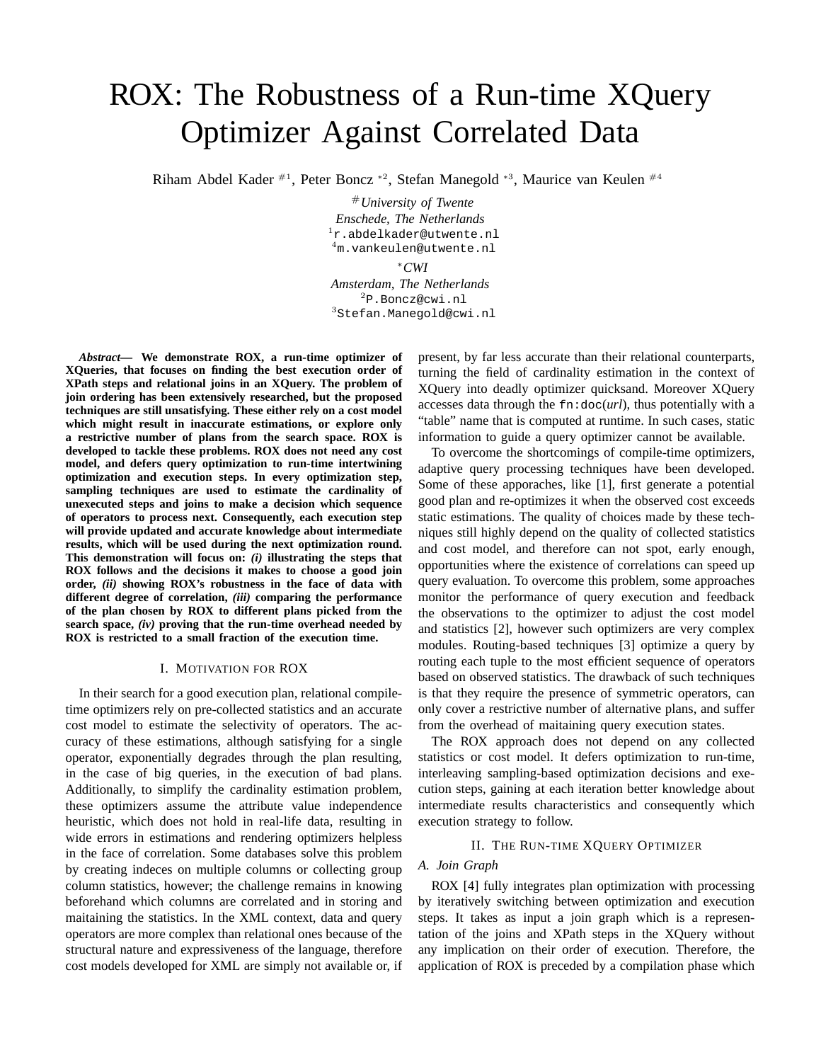# ROX: The Robustness of a Run-time XQuery Optimizer Against Correlated Data

Riham Abdel Kader #1, Peter Boncz <sup>∗</sup><sup>2</sup> , Stefan Manegold <sup>∗</sup><sup>3</sup> , Maurice van Keulen #4

#*University of Twente Enschede, The Netherlands* <sup>1</sup>r.abdelkader@utwente.nl <sup>4</sup>m.vankeulen@utwente.nl

<sup>∗</sup>*CWI*

*Amsterdam, The Netherlands* <sup>2</sup>P.Boncz@cwi.nl <sup>3</sup>Stefan.Manegold@cwi.nl

*Abstract***— We demonstrate ROX, a run-time optimizer of XQueries, that focuses on finding the best execution order of XPath steps and relational joins in an XQuery. The problem of join ordering has been extensively researched, but the proposed techniques are still unsatisfying. These either rely on a cost model which might result in inaccurate estimations, or explore only a restrictive number of plans from the search space. ROX is developed to tackle these problems. ROX does not need any cost model, and defers query optimization to run-time intertwining optimization and execution steps. In every optimization step, sampling techniques are used to estimate the cardinality of unexecuted steps and joins to make a decision which sequence of operators to process next. Consequently, each execution step will provide updated and accurate knowledge about intermediate results, which will be used during the next optimization round. This demonstration will focus on:** *(i)* **illustrating the steps that ROX follows and the decisions it makes to choose a good join order,** *(ii)* **showing ROX's robustness in the face of data with different degree of correlation,** *(iii)* **comparing the performance of the plan chosen by ROX to different plans picked from the search space,** *(iv)* **proving that the run-time overhead needed by ROX is restricted to a small fraction of the execution time.**

# I. MOTIVATION FOR ROX

In their search for a good execution plan, relational compiletime optimizers rely on pre-collected statistics and an accurate cost model to estimate the selectivity of operators. The accuracy of these estimations, although satisfying for a single operator, exponentially degrades through the plan resulting, in the case of big queries, in the execution of bad plans. Additionally, to simplify the cardinality estimation problem, these optimizers assume the attribute value independence heuristic, which does not hold in real-life data, resulting in wide errors in estimations and rendering optimizers helpless in the face of correlation. Some databases solve this problem by creating indeces on multiple columns or collecting group column statistics, however; the challenge remains in knowing beforehand which columns are correlated and in storing and maitaining the statistics. In the XML context, data and query operators are more complex than relational ones because of the structural nature and expressiveness of the language, therefore cost models developed for XML are simply not available or, if present, by far less accurate than their relational counterparts, turning the field of cardinality estimation in the context of XQuery into deadly optimizer quicksand. Moreover XQuery accesses data through the fn:doc(*url*), thus potentially with a "table" name that is computed at runtime. In such cases, static information to guide a query optimizer cannot be available.

To overcome the shortcomings of compile-time optimizers, adaptive query processing techniques have been developed. Some of these apporaches, like [1], first generate a potential good plan and re-optimizes it when the observed cost exceeds static estimations. The quality of choices made by these techniques still highly depend on the quality of collected statistics and cost model, and therefore can not spot, early enough, opportunities where the existence of correlations can speed up query evaluation. To overcome this problem, some approaches monitor the performance of query execution and feedback the observations to the optimizer to adjust the cost model and statistics [2], however such optimizers are very complex modules. Routing-based techniques [3] optimize a query by routing each tuple to the most efficient sequence of operators based on observed statistics. The drawback of such techniques is that they require the presence of symmetric operators, can only cover a restrictive number of alternative plans, and suffer from the overhead of maitaining query execution states.

The ROX approach does not depend on any collected statistics or cost model. It defers optimization to run-time, interleaving sampling-based optimization decisions and execution steps, gaining at each iteration better knowledge about intermediate results characteristics and consequently which execution strategy to follow.

## II. THE RUN-TIME XQUERY OPTIMIZER

## *A. Join Graph*

ROX [4] fully integrates plan optimization with processing by iteratively switching between optimization and execution steps. It takes as input a join graph which is a representation of the joins and XPath steps in the XQuery without any implication on their order of execution. Therefore, the application of ROX is preceded by a compilation phase which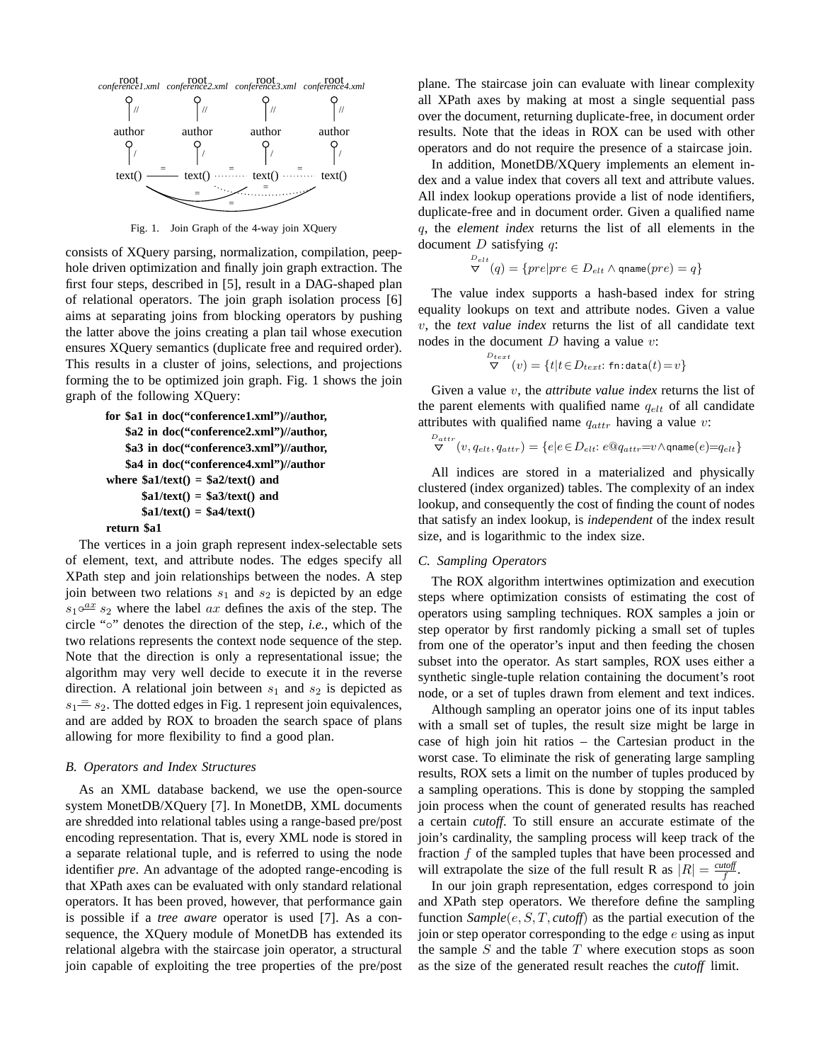

Fig. 1. Join Graph of the 4-way join XQuery

consists of XQuery parsing, normalization, compilation, peephole driven optimization and finally join graph extraction. The first four steps, described in [5], result in a DAG-shaped plan of relational operators. The join graph isolation process [6] aims at separating joins from blocking operators by pushing the latter above the joins creating a plan tail whose execution ensures XQuery semantics (duplicate free and required order). This results in a cluster of joins, selections, and projections forming the to be optimized join graph. Fig. 1 shows the join graph of the following XQuery:

```
for $a1 in doc("conference1.xml")//author,
   $a2 in doc("conference2.xml")//author,
   $a3 in doc("conference3.xml")//author,
   $a4 in doc("conference4.xml")//author
where $a1/text() = $a2/text() and
       $a1/text() = $a3/text() and
       $a1/text() = $a4/text()
```
### **return \$a1**

The vertices in a join graph represent index-selectable sets of element, text, and attribute nodes. The edges specify all XPath step and join relationships between the nodes. A step join between two relations  $s_1$  and  $s_2$  is depicted by an edge  $s_1 \circ \stackrel{ax}{\sim} s_2$  where the label ax defines the axis of the step. The circle "◦" denotes the direction of the step, *i.e.*, which of the two relations represents the context node sequence of the step. Note that the direction is only a representational issue; the algorithm may very well decide to execute it in the reverse direction. A relational join between  $s_1$  and  $s_2$  is depicted as  $s_1 = s_2$ . The dotted edges in Fig. 1 represent join equivalences, and are added by ROX to broaden the search space of plans allowing for more flexibility to find a good plan.

#### *B. Operators and Index Structures*

As an XML database backend, we use the open-source system MonetDB/XQuery [7]. In MonetDB, XML documents are shredded into relational tables using a range-based pre/post encoding representation. That is, every XML node is stored in a separate relational tuple, and is referred to using the node identifier *pre*. An advantage of the adopted range-encoding is that XPath axes can be evaluated with only standard relational operators. It has been proved, however, that performance gain is possible if a *tree aware* operator is used [7]. As a consequence, the XQuery module of MonetDB has extended its relational algebra with the staircase join operator, a structural join capable of exploiting the tree properties of the pre/post

plane. The staircase join can evaluate with linear complexity all XPath axes by making at most a single sequential pass over the document, returning duplicate-free, in document order results. Note that the ideas in ROX can be used with other operators and do not require the presence of a staircase join.

In addition, MonetDB/XQuery implements an element index and a value index that covers all text and attribute values. All index lookup operations provide a list of node identifiers, duplicate-free and in document order. Given a qualified name q, the *element index* returns the list of all elements in the document  $D$  satisfying  $q$ :

$$
\nabla^{D_{elt}}(q) = \{pre | pre \in D_{elt} \land \text{qname}(pre) = q\}
$$

The value index supports a hash-based index for string equality lookups on text and attribute nodes. Given a value v, the *text value index* returns the list of all candidate text nodes in the document  $D$  having a value  $v$ :

$$
\overset{D_{text}}{\nabla}(v) = \{t | t \in D_{text}: \text{fn:data}(t) = v\}
$$

Given a value v, the *attribute value index* returns the list of the parent elements with qualified name  $q_{e l t}$  of all candidate attributes with qualified name  $q_{attr}$  having a value v:

$$
\nabla^{D_{attr}}(v, q_{elt}, q_{attr}) = \{e | e \in D_{elt}: e \textcircled{a} q_{attr} = v \land \text{qname}(e) = q_{elt}\}
$$

All indices are stored in a materialized and physically clustered (index organized) tables. The complexity of an index lookup, and consequently the cost of finding the count of nodes that satisfy an index lookup, is *independent* of the index result size, and is logarithmic to the index size.

# *C. Sampling Operators*

The ROX algorithm intertwines optimization and execution steps where optimization consists of estimating the cost of operators using sampling techniques. ROX samples a join or step operator by first randomly picking a small set of tuples from one of the operator's input and then feeding the chosen subset into the operator. As start samples, ROX uses either a synthetic single-tuple relation containing the document's root node, or a set of tuples drawn from element and text indices.

Although sampling an operator joins one of its input tables with a small set of tuples, the result size might be large in case of high join hit ratios – the Cartesian product in the worst case. To eliminate the risk of generating large sampling results, ROX sets a limit on the number of tuples produced by a sampling operations. This is done by stopping the sampled join process when the count of generated results has reached a certain *cutoff*. To still ensure an accurate estimate of the join's cardinality, the sampling process will keep track of the fraction f of the sampled tuples that have been processed and will extrapolate the size of the full result R as  $|R| = \frac{cutoff}{f}$ .

In our join graph representation, edges correspond to join and XPath step operators. We therefore define the sampling function  $Sample(e, S, T, cutoff)$  as the partial execution of the join or step operator corresponding to the edge  $e$  using as input the sample  $S$  and the table  $T$  where execution stops as soon as the size of the generated result reaches the *cutoff* limit.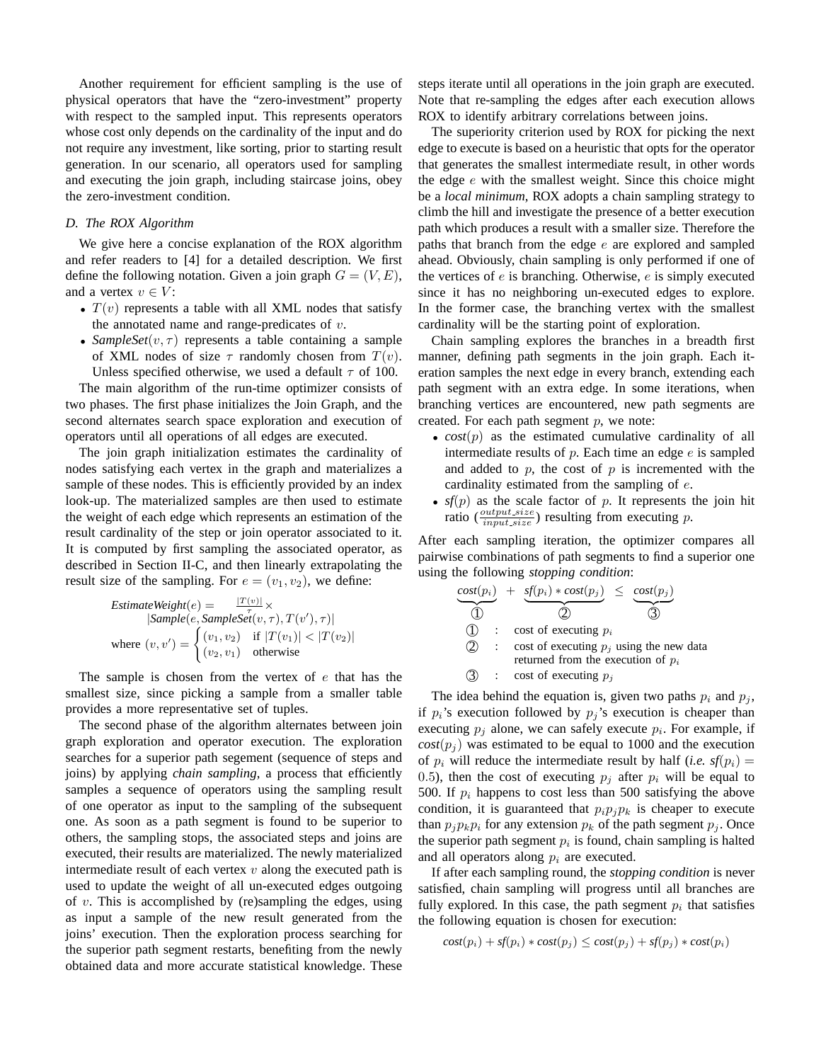Another requirement for efficient sampling is the use of physical operators that have the "zero-investment" property with respect to the sampled input. This represents operators whose cost only depends on the cardinality of the input and do not require any investment, like sorting, prior to starting result generation. In our scenario, all operators used for sampling and executing the join graph, including staircase joins, obey the zero-investment condition.

# *D. The ROX Algorithm*

We give here a concise explanation of the ROX algorithm and refer readers to [4] for a detailed description. We first define the following notation. Given a join graph  $G = (V, E)$ , and a vertex  $v \in V$ :

- $T(v)$  represents a table with all XML nodes that satisfy the annotated name and range-predicates of  $v$ .
- *SampleSet*( $v, \tau$ ) represents a table containing a sample of XML nodes of size  $\tau$  randomly chosen from  $T(v)$ . Unless specified otherwise, we used a default  $\tau$  of 100.

The main algorithm of the run-time optimizer consists of two phases. The first phase initializes the Join Graph, and the second alternates search space exploration and execution of operators until all operations of all edges are executed.

The join graph initialization estimates the cardinality of nodes satisfying each vertex in the graph and materializes a sample of these nodes. This is efficiently provided by an index look-up. The materialized samples are then used to estimate the weight of each edge which represents an estimation of the result cardinality of the step or join operator associated to it. It is computed by first sampling the associated operator, as described in Section II-C, and then linearly extrapolating the result size of the sampling. For  $e = (v_1, v_2)$ , we define:

EstimateWeight(e) = 
$$
\frac{|T(v)|}{\tau}
$$
 |Sample(e, SampleSet(v, \tau), T(v'), \tau)|  
where  $(v, v') = \begin{cases} (v_1, v_2) & \text{if } |T(v_1)| < |T(v_2)| \\ (v_2, v_1) & \text{otherwise} \end{cases}$ 

The sample is chosen from the vertex of  $e$  that has the smallest size, since picking a sample from a smaller table provides a more representative set of tuples.

The second phase of the algorithm alternates between join graph exploration and operator execution. The exploration searches for a superior path segement (sequence of steps and joins) by applying *chain sampling*, a process that efficiently samples a sequence of operators using the sampling result of one operator as input to the sampling of the subsequent one. As soon as a path segment is found to be superior to others, the sampling stops, the associated steps and joins are executed, their results are materialized. The newly materialized intermediate result of each vertex  $v$  along the executed path is used to update the weight of all un-executed edges outgoing of v. This is accomplished by (re)sampling the edges, using as input a sample of the new result generated from the joins' execution. Then the exploration process searching for the superior path segment restarts, benefiting from the newly obtained data and more accurate statistical knowledge. These steps iterate until all operations in the join graph are executed. Note that re-sampling the edges after each execution allows ROX to identify arbitrary correlations between joins.

The superiority criterion used by ROX for picking the next edge to execute is based on a heuristic that opts for the operator that generates the smallest intermediate result, in other words the edge  $e$  with the smallest weight. Since this choice might be a *local minimum*, ROX adopts a chain sampling strategy to climb the hill and investigate the presence of a better execution path which produces a result with a smaller size. Therefore the paths that branch from the edge  $e$  are explored and sampled ahead. Obviously, chain sampling is only performed if one of the vertices of  $e$  is branching. Otherwise,  $e$  is simply executed since it has no neighboring un-executed edges to explore. In the former case, the branching vertex with the smallest cardinality will be the starting point of exploration.

Chain sampling explores the branches in a breadth first manner, defining path segments in the join graph. Each iteration samples the next edge in every branch, extending each path segment with an extra edge. In some iterations, when branching vertices are encountered, new path segments are created. For each path segment  $p$ , we note:

- $cost(p)$  as the estimated cumulative cardinality of all intermediate results of  $p$ . Each time an edge  $e$  is sampled and added to  $p$ , the cost of  $p$  is incremented with the cardinality estimated from the sampling of e.
- $sf(p)$  as the scale factor of  $p$ . It represents the join hit ratio  $\left(\frac{output.size}{input.size}\right)$  resulting from executing p.

After each sampling iteration, the optimizer compares all pairwise combinations of path segments to find a superior one using the following *stopping condition*:

| $cost(p_i)$ | $+$                                                                             | $sf(p_i) * cost(p_j)$   | $\leq$ | $cost(p_j)$ |
|-------------|---------------------------------------------------------------------------------|-------------------------|--------|-------------|
| ①           | ②                                                                               | ③                       |        |             |
| ②           | ②                                                                               | cost of executing $p_i$ |        |             |
| ②           | cost of executing $p_j$ using the new data returned from the execution of $p_i$ |                         |        |             |

$$
\textcircled{3} \quad : \quad \text{cost of executing } p_j
$$

The idea behind the equation is, given two paths  $p_i$  and  $p_j$ , if  $p_i$ 's execution followed by  $p_j$ 's execution is cheaper than executing  $p_j$  alone, we can safely execute  $p_i$ . For example, if  $cost(p_j)$  was estimated to be equal to 1000 and the execution of  $p_i$  will reduce the intermediate result by half (*i.e.*  $sf(p_i)$ ) 0.5), then the cost of executing  $p_i$  after  $p_i$  will be equal to 500. If  $p_i$  happens to cost less than 500 satisfying the above condition, it is guaranteed that  $p_i p_j p_k$  is cheaper to execute than  $p_j p_k p_i$  for any extension  $p_k$  of the path segment  $p_j$ . Once the superior path segment  $p_i$  is found, chain sampling is halted and all operators along  $p_i$  are executed.

If after each sampling round, the *stopping condition* is never satisfied, chain sampling will progress until all branches are fully explored. In this case, the path segment  $p_i$  that satisfies the following equation is chosen for execution:

$$
cost(p_i) + sf(p_i) * cost(p_j) \leq cost(p_j) + sf(p_j) * cost(p_i)
$$